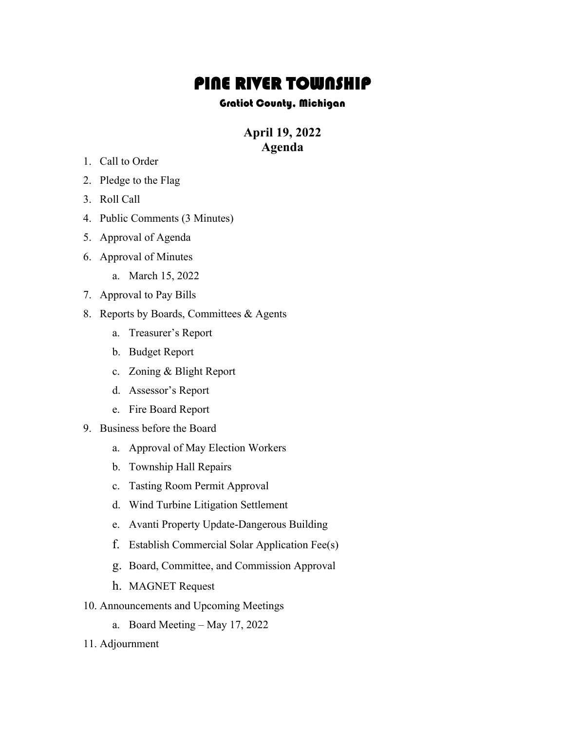## **PINE RIVER TOWNSHIP**<br>Gratiot County, Michigan

## **April 19, 2022 Agenda**

- 1. Call to Order
- 2. Pledge to the Flag
- 3. Roll Call
- 4. Public Comments (3 Minutes)
- 5. Approval of Agenda
- 6. Approval of Minutes
	- a. March 15, 2022
- 7. Approval to Pay Bills
- 8. Reports by Boards, Committees & Agents
	- a. Treasurer's Report
	- b. Budget Report
	- c. Zoning & Blight Report
	- d. Assessor's Report
	- e. Fire Board Report
- 9. Business before the Board
	- a. Approval of May Election Workers
	- b. Township Hall Repairs
	- c. Tasting Room Permit Approval
	- d. Wind Turbine Litigation Settlement
	- e. Avanti Property Update-Dangerous Building
	- f. Establish Commercial Solar Application Fee(s)
	- g. Board, Committee, and Commission Approval
	- h. MAGNET Request
- 10. Announcements and Upcoming Meetings
	- a. Board Meeting May 17, 2022
- 11. Adjournment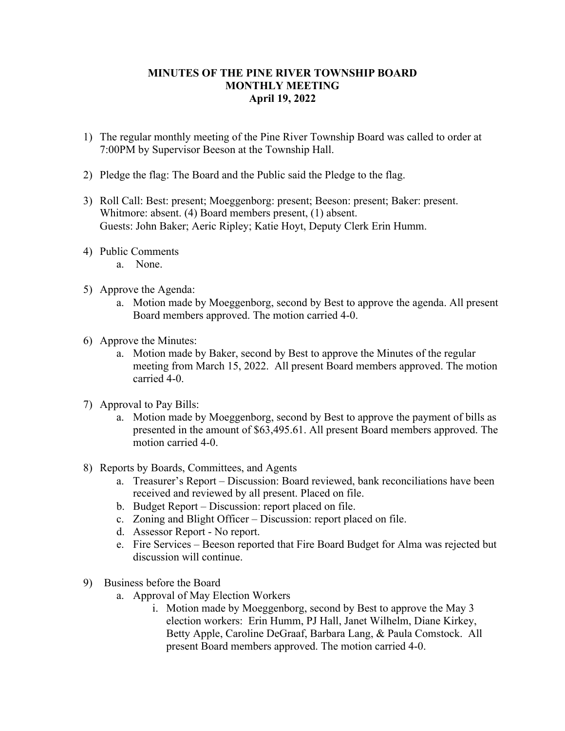## **MINUTES OF THE PINE RIVER TOWNSHIP BOARD MONTHLY MEETING April 19, 2022**

- 1) The regular monthly meeting of the Pine River Township Board was called to order at 7:00PM by Supervisor Beeson at the Township Hall.
- 2) Pledge the flag: The Board and the Public said the Pledge to the flag.
- 3) Roll Call: Best: present; Moeggenborg: present; Beeson: present; Baker: present. Whitmore: absent. (4) Board members present, (1) absent. Guests: John Baker; Aeric Ripley; Katie Hoyt, Deputy Clerk Erin Humm.
- 4) Public Comments
	- a. None.
- 5) Approve the Agenda:
	- a. Motion made by Moeggenborg, second by Best to approve the agenda. All present Board members approved. The motion carried 4-0.
- 6) Approve the Minutes:
	- a. Motion made by Baker, second by Best to approve the Minutes of the regular meeting from March 15, 2022. All present Board members approved. The motion carried 4-0.
- 7) Approval to Pay Bills:
	- a. Motion made by Moeggenborg, second by Best to approve the payment of bills as presented in the amount of \$63,495.61. All present Board members approved. The motion carried 4-0.
- 8) Reports by Boards, Committees, and Agents
	- a. Treasurer's Report Discussion: Board reviewed, bank reconciliations have been received and reviewed by all present. Placed on file.
	- b. Budget Report Discussion: report placed on file.
	- c. Zoning and Blight Officer Discussion: report placed on file.
	- d. Assessor Report No report.
	- e. Fire Services Beeson reported that Fire Board Budget for Alma was rejected but discussion will continue.
- 9) Business before the Board
	- a. Approval of May Election Workers
		- i. Motion made by Moeggenborg, second by Best to approve the May 3 election workers: Erin Humm, PJ Hall, Janet Wilhelm, Diane Kirkey, Betty Apple, Caroline DeGraaf, Barbara Lang, & Paula Comstock. All present Board members approved. The motion carried 4-0.